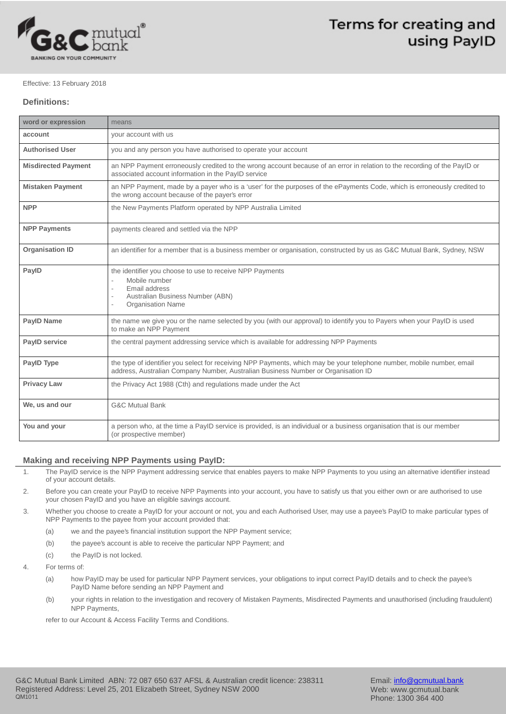

### Effective: 13 February 2018

# **Definitions:**

| word or expression         | means                                                                                                                                                                                                       |
|----------------------------|-------------------------------------------------------------------------------------------------------------------------------------------------------------------------------------------------------------|
| account                    | your account with us                                                                                                                                                                                        |
| <b>Authorised User</b>     | you and any person you have authorised to operate your account                                                                                                                                              |
| <b>Misdirected Payment</b> | an NPP Payment erroneously credited to the wrong account because of an error in relation to the recording of the PaylD or<br>associated account information in the PayID service                            |
| <b>Mistaken Payment</b>    | an NPP Payment, made by a payer who is a 'user' for the purposes of the ePayments Code, which is erroneously credited to<br>the wrong account because of the payer's error                                  |
| <b>NPP</b>                 | the New Payments Platform operated by NPP Australia Limited                                                                                                                                                 |
| <b>NPP Payments</b>        | payments cleared and settled via the NPP                                                                                                                                                                    |
| <b>Organisation ID</b>     | an identifier for a member that is a business member or organisation, constructed by us as G&C Mutual Bank, Sydney, NSW                                                                                     |
| PaylD                      | the identifier you choose to use to receive NPP Payments<br>Mobile number<br>Email address<br>Australian Business Number (ABN)<br>$\sim$<br><b>Organisation Name</b><br>÷.                                  |
| <b>PaylD Name</b>          | the name we give you or the name selected by you (with our approval) to identify you to Payers when your PayID is used<br>to make an NPP Payment                                                            |
| <b>PayID service</b>       | the central payment addressing service which is available for addressing NPP Payments                                                                                                                       |
| PaylD Type                 | the type of identifier you select for receiving NPP Payments, which may be your telephone number, mobile number, email<br>address, Australian Company Number, Australian Business Number or Organisation ID |
| <b>Privacy Law</b>         | the Privacy Act 1988 (Cth) and regulations made under the Act                                                                                                                                               |
| We, us and our             | <b>G&amp;C Mutual Bank</b>                                                                                                                                                                                  |
| You and your               | a person who, at the time a PayID service is provided, is an individual or a business organisation that is our member<br>(or prospective member)                                                            |

## **Making and receiving NPP Payments using PayID:**

- 1. The PayID service is the NPP Payment addressing service that enables payers to make NPP Payments to you using an alternative identifier instead of your account details.
- 2. Before you can create your PayID to receive NPP Payments into your account, you have to satisfy us that you either own or are authorised to use your chosen PayID and you have an eligible savings account.
- 3. Whether you choose to create a PayID for your account or not, you and each Authorised User, may use a payee's PayID to make particular types of NPP Payments to the payee from your account provided that:
	- (a) we and the payee's financial institution support the NPP Payment service;
	- (b) the payee's account is able to receive the particular NPP Payment; and
	- (c) the PayID is not locked.
- 4. For terms of:
	- (a) how PayID may be used for particular NPP Payment services, your obligations to input correct PayID details and to check the payee's PayID Name before sending an NPP Payment and
	- (b) your rights in relation to the investigation and recovery of Mistaken Payments, Misdirected Payments and unauthorised (including fraudulent) NPP Payments,

refer to our Account & Access Facility Terms and Conditions.